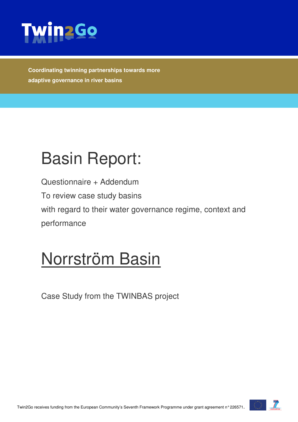

**Coordinating twinning partnerships towards more adaptive governance in river basins** 

# Basin Report:

Questionnaire + Addendum To review case study basins with regard to their water governance regime, context and performance

## Norrström Basin

Case Study from the TWINBAS project

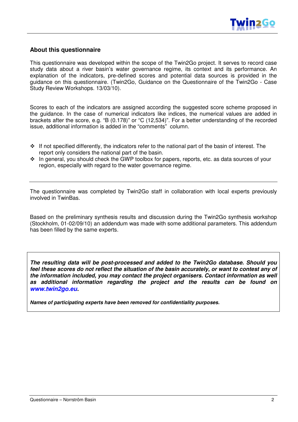

#### **About this questionnaire**

This questionnaire was developed within the scope of the Twin2Go project. It serves to record case study data about a river basin's water governance regime, its context and its performance. An explanation of the indicators, pre-defined scores and potential data sources is provided in the guidance on this questionnaire. (Twin2Go, Guidance on the Questionnaire of the Twin2Go - Case Study Review Workshops. 13/03/10).

Scores to each of the indicators are assigned according the suggested score scheme proposed in the guidance. In the case of numerical indicators like indices, the numerical values are added in brackets after the score, e.g. "B (0.178)" or "C (12,534)". For a better understanding of the recorded issue, additional information is added in the "comments" column.

- If not specified differently, the indicators refer to the national part of the basin of interest. The report only considers the national part of the basin.
- $\cdot \cdot$  In general, you should check the GWP toolbox for papers, reports, etc. as data sources of your region, especially with regard to the water governance regime.

The questionnaire was completed by Twin2Go staff in collaboration with local experts previously involved in TwinBas.

Based on the preliminary synthesis results and discussion during the Twin2Go synthesis workshop (Stockholm, 01-02/09/10) an addendum was made with some additional parameters. This addendum has been filled by the same experts.

**The resulting data will be post-processed and added to the Twin2Go database. Should you feel these scores do not reflect the situation of the basin accurately, or want to contest any of the information included, you may contact the project organisers. Contact information as well as additional information regarding the project and the results can be found on www.twin2go.eu.** 

**Names of participating experts have been removed for confidentiality purposes.**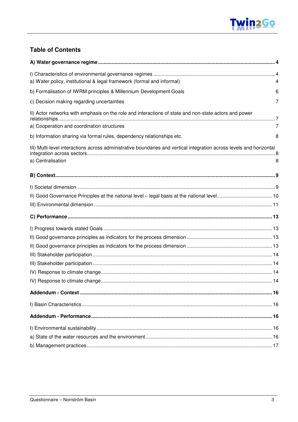#### **Table of Contents**

| a) Water policy, institutional & legal framework (formal and informal)                                                                              | 4 |
|-----------------------------------------------------------------------------------------------------------------------------------------------------|---|
| b) Formalisation of IWRM principles & Millennium Development Goals                                                                                  | 6 |
| c) Decision making regarding uncertainties                                                                                                          | 7 |
| II) Actor networks with emphasis on the role and interactions of state and non-state actors and power<br>a) Cooperation and coordination structures | 7 |
| b) Information sharing via formal rules, dependency relationships etc.                                                                              | 8 |
| III) Multi-level interactions across administrative boundaries and vertical integration across levels and horizontal<br>a) Centralisation           | 8 |
|                                                                                                                                                     |   |
|                                                                                                                                                     |   |
|                                                                                                                                                     |   |
|                                                                                                                                                     |   |
|                                                                                                                                                     |   |
|                                                                                                                                                     |   |
|                                                                                                                                                     |   |
|                                                                                                                                                     |   |
|                                                                                                                                                     |   |
|                                                                                                                                                     |   |
|                                                                                                                                                     |   |
|                                                                                                                                                     |   |
|                                                                                                                                                     |   |
|                                                                                                                                                     |   |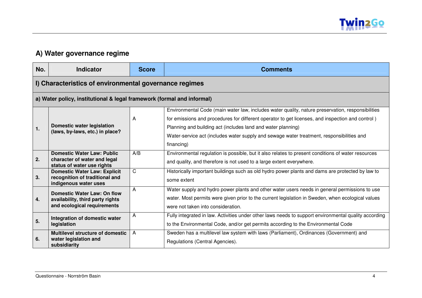

#### **A) Water governance regime**

| No. | <b>Indicator</b>                                                                                | <b>Score</b> | <b>Comments</b>                                                                                                                                                                                                                                                                                                                                                                  |
|-----|-------------------------------------------------------------------------------------------------|--------------|----------------------------------------------------------------------------------------------------------------------------------------------------------------------------------------------------------------------------------------------------------------------------------------------------------------------------------------------------------------------------------|
|     | I) Characteristics of environmental governance regimes                                          |              |                                                                                                                                                                                                                                                                                                                                                                                  |
|     | a) Water policy, institutional & legal framework (formal and informal)                          |              |                                                                                                                                                                                                                                                                                                                                                                                  |
| 1.  | <b>Domestic water legislation</b><br>(laws, by-laws, etc.) in place?                            | A            | Environmental Code (main water law, includes water quality, nature preservation, responsibilities<br>for emissions and procedures for different operator to get licenses, and inspection and control)<br>Planning and building act (includes land and water planning)<br>Water-service act (includes water supply and sewage water treatment, responsibilities and<br>financing) |
| 2.  | <b>Domestic Water Law: Public</b><br>character of water and legal<br>status of water use rights | A/B          | Environmental regulation is possible, but it also relates to present conditions of water resources<br>and quality, and therefore is not used to a large extent everywhere.                                                                                                                                                                                                       |
| 3.  | <b>Domestic Water Law: Explicit</b><br>recognition of traditional and<br>indigenous water uses  | C            | Historically important buildings such as old hydro power plants and dams are protected by law to<br>some extent                                                                                                                                                                                                                                                                  |
| 4.  | Domestic Water Law: On flow<br>availability, third party rights<br>and ecological requirements  | A            | Water supply and hydro power plants and other water users needs in general permissions to use<br>water. Most permits were given prior to the current legislation in Sweden, when ecological values<br>were not taken into consideration.                                                                                                                                         |
| 5.  | Integration of domestic water<br>legislation                                                    | A            | Fully integrated in law. Activities under other laws needs to support environmental quality according<br>to the Environmental Code, and/or get permits according to the Environmental Code                                                                                                                                                                                       |
| 6.  | Multilevel structure of domestic<br>water legislation and<br>subsidiarity                       | A            | Sweden has a multilevel law system with laws (Parliament), Ordinances (Government) and<br>Regulations (Central Agencies).                                                                                                                                                                                                                                                        |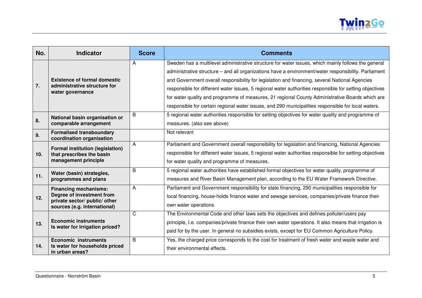

| No.             | <b>Indicator</b>                                                                                                           | <b>Score</b> | <b>Comments</b>                                                                                                                                                                                                                                                                                                                                                                                                                                                                                                                                                                                                                    |
|-----------------|----------------------------------------------------------------------------------------------------------------------------|--------------|------------------------------------------------------------------------------------------------------------------------------------------------------------------------------------------------------------------------------------------------------------------------------------------------------------------------------------------------------------------------------------------------------------------------------------------------------------------------------------------------------------------------------------------------------------------------------------------------------------------------------------|
| 7.              | <b>Existence of formal domestic</b><br>administrative structure for<br>water governance                                    | Α            | Sweden has a multilevel administrative structure for water issues, which mainly follows the general<br>administrative structure - and all organizations have a environment/water responsibility. Parliament<br>and Government overall responsibility for legislation and financing, several National Agencies<br>responsible for different water issues, 5 regional water authorities responsible for setting objectives<br>for water quality and programme of measures, 21 regional County Administrative Boards which are<br>responsible for certain regional water issues, and 290 municipalities responsible for local waters. |
| 8.              | National basin organisation or<br>comparable arrangement                                                                   | B            | 5 regional water authorities responsible for setting objectives for water quality and programme of<br>measures. (also see above)                                                                                                                                                                                                                                                                                                                                                                                                                                                                                                   |
| 9.              | <b>Formalised transboundary</b><br>coordination organisation                                                               |              | Not relevant                                                                                                                                                                                                                                                                                                                                                                                                                                                                                                                                                                                                                       |
| 10 <sub>1</sub> | <b>Formal institution (legislation)</b><br>that prescribes the basin<br>management principle                               | A            | Parliament and Government overall responsibility for legislation and financing, National Agencies<br>responsible for different water issues, 5 regional water authorities responsible for setting objectives<br>for water quality and programme of measures.                                                                                                                                                                                                                                                                                                                                                                       |
| 11.             | Water (basin) strategies,<br>programmes and plans                                                                          | B            | 5 regional water authorities have established formal objectives for water quality, programme of<br>measures and River Basin Management plan, according to the EU Water Framework Directive.                                                                                                                                                                                                                                                                                                                                                                                                                                        |
| 12.             | <b>Financing mechanisms:</b><br>Degree of investment from<br>private sector/ public/ other<br>sources (e.g. international) | A            | Parliament and Government responsibility for state financing, 290 municipalities responsible for<br>local financing, house-holds finance water and sewage services, companies/private finance their<br>own water operations                                                                                                                                                                                                                                                                                                                                                                                                        |
| 13.             | <b>Economic instruments</b><br>Is water for irrigation priced?                                                             | C            | The Environmental Code and other laws sets the objectives and defines polluter/users pay<br>principle, I.e. companies/private finance their own water operations. It also means that irrigation is<br>paid for by the user. In general no subsidies exists, except for EU Common Agriculture Policy.                                                                                                                                                                                                                                                                                                                               |
| 14.             | <b>Economic instruments</b><br>Is water for households priced<br>in urban areas?                                           | B            | Yes, the charged price corresponds to the cost for treatment of fresh water and waste water and<br>their environmental effects.                                                                                                                                                                                                                                                                                                                                                                                                                                                                                                    |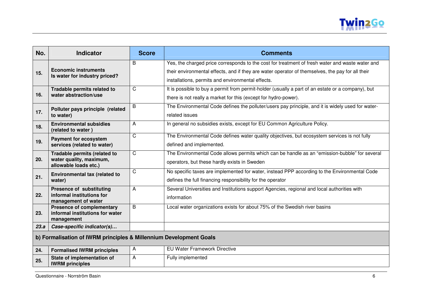

| No.                                                                | <b>Indicator</b>                                        | <b>Score</b> | <b>Comments</b>                                                                                   |
|--------------------------------------------------------------------|---------------------------------------------------------|--------------|---------------------------------------------------------------------------------------------------|
|                                                                    | <b>Economic instruments</b>                             | B            | Yes, the charged price corresponds to the cost for treatment of fresh water and waste water and   |
| 15.                                                                | Is water for industry priced?                           |              | their environmental effects, and if they are water operator of themselves, the pay for all their  |
|                                                                    |                                                         |              | installations, permits and environmental effects.                                                 |
|                                                                    | Tradable permits related to                             | C            | It is possible to buy a permit from permit-holder (usually a part of an estate or a company), but |
| 16.                                                                | water abstraction/use                                   |              | there is not really a market for this (except for hydro-power).                                   |
|                                                                    | Polluter pays principle (related                        | B            | The Environmental Code defines the polluter/users pay principle, and it is widely used for water- |
| 17.                                                                | to water)                                               |              | related issues                                                                                    |
| 18.                                                                | <b>Environmental subsidies</b>                          | A            | In general no subsidies exists, except for EU Common Agriculture Policy.                          |
|                                                                    | (related to water)                                      | $\mathsf C$  | The Environmental Code defines water quality objectives, but ecosystem services is not fully      |
| 19.                                                                | <b>Payment for ecosystem</b>                            |              |                                                                                                   |
|                                                                    | services (related to water)                             |              | defined and implemented.                                                                          |
| 20.                                                                | Tradable permits (related to<br>water quality, maximum, | $\mathsf C$  | The Environmental Code allows permits which can be handle as an "emission-bubble" for several     |
|                                                                    | allowable loads etc.)                                   |              | operators, but these hardly exists in Sweden                                                      |
|                                                                    | Environmental tax (related to                           | C            | No specific taxes are implemented for water, instead PPP according to the Environmental Code      |
| 21.                                                                | water)                                                  |              | defines the full financing responsibility for the operator                                        |
|                                                                    | <b>Presence of substituting</b>                         | A            | Several Universities and Institutions support Agencies, regional and local authorities with       |
| 22.                                                                | informal institutions for<br>management of water        |              | information                                                                                       |
|                                                                    | <b>Presence of complementary</b>                        | B            | Local water organizations exists for about 75% of the Swedish river basins                        |
| 23.                                                                | informal institutions for water                         |              |                                                                                                   |
|                                                                    | management                                              |              |                                                                                                   |
| 23.a                                                               | Case-specific indicator(s)                              |              |                                                                                                   |
| b) Formalisation of IWRM principles & Millennium Development Goals |                                                         |              |                                                                                                   |
| 24.                                                                | <b>Formalised IWRM principles</b>                       | A            | <b>EU Water Framework Directive</b>                                                               |
| 25.                                                                | State of implementation of<br><b>IWRM</b> principles    | A            | Fully implemented                                                                                 |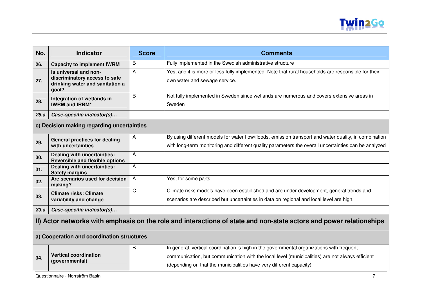

| No.                                                                                                                 | <b>Indicator</b>                                                                                   | <b>Score</b>   | <b>Comments</b>                                                                                                                      |
|---------------------------------------------------------------------------------------------------------------------|----------------------------------------------------------------------------------------------------|----------------|--------------------------------------------------------------------------------------------------------------------------------------|
| 26.                                                                                                                 | <b>Capacity to implement IWRM</b>                                                                  | B              | Fully implemented in the Swedish administrative structure                                                                            |
| 27.                                                                                                                 | Is universal and non-<br>discriminatory access to safe<br>drinking water and sanitation a<br>goal? | A              | Yes, and it is more or less fully implemented. Note that rural households are responsible for their<br>own water and sewage service. |
| 28.                                                                                                                 | Integration of wetlands in<br><b>IWRM and IRBM*</b>                                                | B              | Not fully implemented in Sweden since wetlands are numerous and covers extensive areas in<br>Sweden                                  |
| 28.a                                                                                                                | Case-specific indicator(s)                                                                         |                |                                                                                                                                      |
|                                                                                                                     | c) Decision making regarding uncertainties                                                         |                |                                                                                                                                      |
| 29.                                                                                                                 | <b>General practices for dealing</b>                                                               | A              | By using different models for water flow/floods, emission transport and water quality, in combination                                |
|                                                                                                                     | with uncertainties                                                                                 |                | with long-term monitoring and different quality parameters the overall uncertainties can be analyzed                                 |
| 30.                                                                                                                 | Dealing with uncertainties:<br><b>Reversible and flexible options</b>                              | A              |                                                                                                                                      |
| 31.                                                                                                                 | Dealing with uncertainties:<br><b>Safety margins</b>                                               | A              |                                                                                                                                      |
| 32.                                                                                                                 | Are scenarios used for decision<br>making?                                                         | A              | Yes, for some parts                                                                                                                  |
| 33.                                                                                                                 | <b>Climate risks: Climate</b>                                                                      | $\overline{C}$ | Climate risks models have been established and are under development, general trends and                                             |
|                                                                                                                     | variability and change                                                                             |                | scenarios are described but uncertainties in data on regional and local level are high.                                              |
| 33.a                                                                                                                | Case-specific indicator(s)                                                                         |                |                                                                                                                                      |
| II) Actor networks with emphasis on the role and interactions of state and non-state actors and power relationships |                                                                                                    |                |                                                                                                                                      |
|                                                                                                                     | a) Cooperation and coordination structures                                                         |                |                                                                                                                                      |
|                                                                                                                     |                                                                                                    | B              | In general, vertical coordination is high in the governmental organizations with frequent                                            |
| 34.                                                                                                                 | <b>Vertical coordination</b><br>(governmental)                                                     |                | communication, but communication with the local level (municipalities) are not always efficient                                      |
|                                                                                                                     |                                                                                                    |                | (depending on that the municipalities have very different capacity)                                                                  |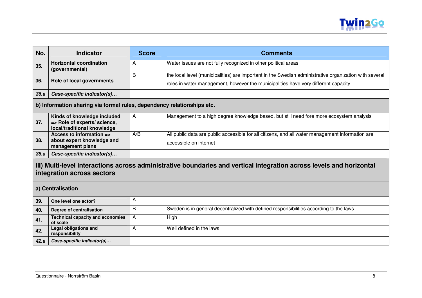

| No.                                                                                                                                                | <b>Indicator</b>                                                                           | <b>Score</b> | <b>Comments</b>                                                                                                                                                                              |  |
|----------------------------------------------------------------------------------------------------------------------------------------------------|--------------------------------------------------------------------------------------------|--------------|----------------------------------------------------------------------------------------------------------------------------------------------------------------------------------------------|--|
| 35.                                                                                                                                                | <b>Horizontal coordination</b><br>(governmental)                                           | A            | Water issues are not fully recognized in other political areas                                                                                                                               |  |
| 36.                                                                                                                                                | Role of local governments                                                                  | B            | the local level (municipalities) are important in the Swedish administrative organization with several<br>roles in water management, however the municipalities have very different capacity |  |
| 36.a                                                                                                                                               | Case-specific indicator(s)                                                                 |              |                                                                                                                                                                                              |  |
|                                                                                                                                                    | b) Information sharing via formal rules, dependency relationships etc.                     |              |                                                                                                                                                                                              |  |
| 37.                                                                                                                                                | Kinds of knowledge included<br>=> Role of experts/ science,<br>local/traditional knowledge | A            | Management to a high degree knowledge based, but still need fore more ecosystem analysis                                                                                                     |  |
| 38.                                                                                                                                                | Access to information =><br>about expert knowledge and<br>management plans                 | A/B          | All public data are public accessible for all citizens, and all water management information are<br>accessible on internet                                                                   |  |
| 38.a                                                                                                                                               | Case-specific indicator(s)                                                                 |              |                                                                                                                                                                                              |  |
| III) Multi-level interactions across administrative boundaries and vertical integration across levels and horizontal<br>integration across sectors |                                                                                            |              |                                                                                                                                                                                              |  |
|                                                                                                                                                    | a) Centralisation                                                                          |              |                                                                                                                                                                                              |  |
| 39.                                                                                                                                                | One level one actor?                                                                       | A            |                                                                                                                                                                                              |  |
| 40.                                                                                                                                                | Degree of centralisation                                                                   | B            | Sweden is in general decentralized with defined responsibilities according to the laws                                                                                                       |  |
| 41.                                                                                                                                                | <b>Technical capacity and economies</b><br>of scale                                        | Α            | High                                                                                                                                                                                         |  |
| 42.                                                                                                                                                | <b>Legal obligations and</b><br>responsibility                                             | Α            | Well defined in the laws                                                                                                                                                                     |  |
| 42.a                                                                                                                                               | Case-specific indicator(s)                                                                 |              |                                                                                                                                                                                              |  |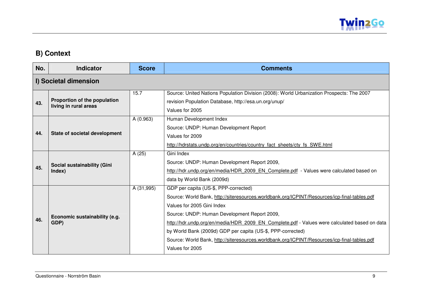

### **B) Context**

| No. | <b>Indicator</b>                                      | <b>Score</b> | <b>Comments</b>                                                                                                                                                                                                                                                                                                                                                                                                                                                                                       |
|-----|-------------------------------------------------------|--------------|-------------------------------------------------------------------------------------------------------------------------------------------------------------------------------------------------------------------------------------------------------------------------------------------------------------------------------------------------------------------------------------------------------------------------------------------------------------------------------------------------------|
|     | I) Societal dimension                                 |              |                                                                                                                                                                                                                                                                                                                                                                                                                                                                                                       |
| 43. | Proportion of the population<br>living in rural areas | 15.7         | Source: United Nations Population Division (2008): World Urbanization Prospects: The 2007<br>revision Population Database, http://esa.un.org/unup/<br>Values for 2005                                                                                                                                                                                                                                                                                                                                 |
| 44. | State of societal development                         | A (0.963)    | Human Development Index<br>Source: UNDP: Human Development Report<br>Values for 2009<br>http://hdrstats.undp.org/en/countries/country fact sheets/cty fs SWE.html                                                                                                                                                                                                                                                                                                                                     |
| 45. | Social sustainability (Gini<br>Index)                 | A (25)       | Gini Index<br>Source: UNDP: Human Development Report 2009,<br>http://hdr.undp.org/en/media/HDR 2009 EN Complete.pdf - Values were calculated based on<br>data by World Bank (2009d)                                                                                                                                                                                                                                                                                                                   |
| 46. | Economic sustainability (e.g.<br>GDP)                 | A (31,995)   | GDP per capita (US-\$, PPP-corrected)<br>Source: World Bank, http://siteresources.worldbank.org/ICPINT/Resources/icp-final-tables.pdf<br>Values for 2005 Gini Index<br>Source: UNDP: Human Development Report 2009,<br>http://hdr.undp.org/en/media/HDR 2009 EN Complete.pdf - Values were calculated based on data<br>by World Bank (2009d) GDP per capita (US-\$, PPP-corrected)<br>Source: World Bank, http://siteresources.worldbank.org/ICPINT/Resources/icp-final-tables.pdf<br>Values for 2005 |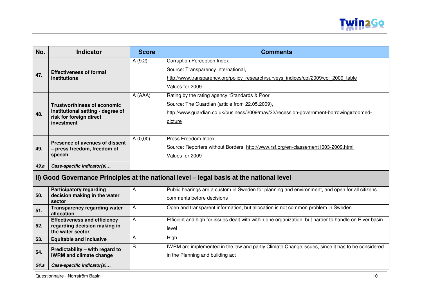

| No.  | <b>Indicator</b>                                                                                                 | <b>Score</b> | <b>Comments</b>                                                                                                                                                                                      |  |  |
|------|------------------------------------------------------------------------------------------------------------------|--------------|------------------------------------------------------------------------------------------------------------------------------------------------------------------------------------------------------|--|--|
| 47.  | <b>Effectiveness of formal</b><br><b>institutions</b>                                                            | A(9.2)       | <b>Corruption Perception Index</b><br>Source: Transparency International,<br>http://www.transparency.org/policy research/surveys indices/cpi/2009/cpi 2009 table<br>Values for 2009                  |  |  |
| 48.  | <b>Trustworthiness of economic</b><br>institutional setting - degree of<br>risk for foreign direct<br>investment | A (AAA)      | Rating by the rating agency "Standards & Poor<br>Source: The Guardian (article from 22.05.2009),<br>http://www.guardian.co.uk/business/2009/may/22/recession-government-borrowing#zoomed-<br>picture |  |  |
| 49.  | Presence of avenues of dissent<br>- press freedom, freedom of<br>speech                                          | A(0,00)      | Press Freedom Index<br>Source: Reporters without Borders, http://www.rsf.org/en-classement1003-2009.html<br>Values for 2009                                                                          |  |  |
| 49.a | Case-specific indicator(s)                                                                                       |              |                                                                                                                                                                                                      |  |  |
|      | II) Good Governance Principles at the national level - legal basis at the national level                         |              |                                                                                                                                                                                                      |  |  |
| 50.  | <b>Participatory regarding</b><br>decision making in the water<br>sector                                         | A            | Public hearings are a custom in Sweden for planning and environment, and open for all citizens<br>comments before decisions                                                                          |  |  |
| 51.  | <b>Transparency regarding water</b><br>allocation                                                                | A            | Open and transparent information, but allocation is not common problem in Sweden                                                                                                                     |  |  |
| 52.  | <b>Effectiveness and efficiency</b><br>regarding decision making in<br>the water sector                          | A            | Efficient and high for issues dealt with within one organization, but harder to handle on River basin<br>level                                                                                       |  |  |
| 53.  | <b>Equitable and inclusive</b>                                                                                   | A            | High                                                                                                                                                                                                 |  |  |
| 54.  | Predictability - with regard to<br><b>IWRM and climate change</b>                                                | B            | IWRM are implemented in the law and partly Climate Change issues, since it has to be considered<br>in the Planning and building act                                                                  |  |  |
| 54.a | Case-specific indicator(s)                                                                                       |              |                                                                                                                                                                                                      |  |  |

Questionnaire - Norrström Basin 10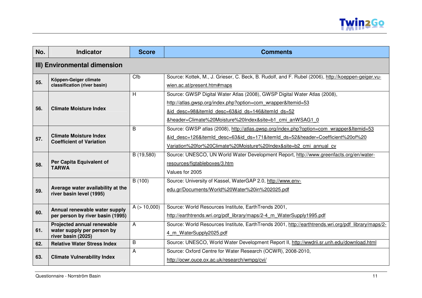

| No. | <b>Indicator</b>                                                               | <b>Score</b> | <b>Comments</b>                                                                                                                                                                                                                                            |  |
|-----|--------------------------------------------------------------------------------|--------------|------------------------------------------------------------------------------------------------------------------------------------------------------------------------------------------------------------------------------------------------------------|--|
|     | III) Environmental dimension                                                   |              |                                                                                                                                                                                                                                                            |  |
| 55. | Köppen-Geiger climate<br>classification (river basin)                          | Cfb          | Source: Kottek, M., J. Grieser, C. Beck, B. Rudolf, and F. Rubel (2006), http://koeppen-geiger.vu-<br>wien.ac.at/present.htm#maps                                                                                                                          |  |
| 56. | <b>Climate Moisture Index</b>                                                  | H            | Source: GWSP Digital Water Atlas (2008), GWSP Digital Water Atlas (2008),<br>http://atlas.gwsp.org/index.php?option=com_wrapper&ltemid=53<br>&id desc=98&itemId desc=63&id ds=146&itemId ds=52<br>&header=Climate%20Moisture%20Index&site=b1 cmi anWSAG1 0 |  |
| 57. | <b>Climate Moisture Index</b><br><b>Coefficient of Variation</b>               | B            | Source: GWSP atlas (2008), http://atlas.gwsp.org/index.php?option=com_wrapper&Itemid=53<br>&id desc=126&itemId desc=63&id ds=171&itemId ds=52&header=Coefficient%20of%20<br>Variation%20for%20Climate%20Moisture%20Index&site=b2 cmi annual cv             |  |
| 58. | Per Capita Equivalent of<br><b>TARWA</b>                                       | B (19,580)   | Source: UNESCO, UN World Water Development Report, http://www.greenfacts.org/en/water-<br>resources/figtableboxes/3.htm<br>Values for 2005                                                                                                                 |  |
| 59. | Average water availability at the<br>river basin level (1995)                  | B (100)      | Source: University of Kassel, WaterGAP 2.0, http://www.env-<br>edu.gr/Documents/World%20Water%20in%202025.pdf                                                                                                                                              |  |
| 60. | Annual renewable water supply<br>per person by river basin (1995)              | A (> 10,000) | Source: World Resources Institute, EarthTrends 2001,<br>http://earthtrends.wri.org/pdf library/maps/2-4 m WaterSupply1995.pdf                                                                                                                              |  |
| 61. | Projected annual renewable<br>water supply per person by<br>river basin (2025) | A            | Source: World Resources Institute, EarthTrends 2001, http://earthtrends.wri.org/pdf library/maps/2-<br>4 m WaterSupply2025.pdf                                                                                                                             |  |
| 62. | <b>Relative Water Stress Index</b>                                             | B            | Source: UNESCO, World Water Development Report II, http://wwdrii.sr.unh.edu/download.html                                                                                                                                                                  |  |
| 63. | <b>Climate Vulnerability Index</b>                                             | A            | Source: Oxford Centre for Water Research (OCWR), 2008-2010,<br>http://ocwr.ouce.ox.ac.uk/research/wmpg/cvi/                                                                                                                                                |  |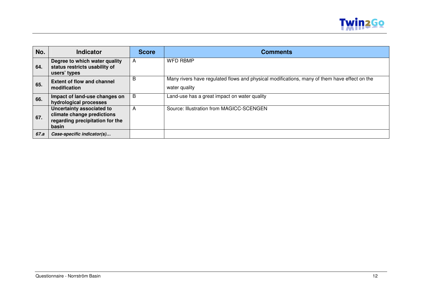

| No.  | <b>Indicator</b>                                                                                    | <b>Score</b> | <b>Comments</b>                                                                                               |
|------|-----------------------------------------------------------------------------------------------------|--------------|---------------------------------------------------------------------------------------------------------------|
| 64.  | Degree to which water quality<br>status restricts usability of<br>users' types                      | A            | <b>WFD RBMP</b>                                                                                               |
| 65.  | <b>Extent of flow and channel</b><br>modification                                                   | B            | Many rivers have regulated flows and physical modifications, many of them have effect on the<br>water quality |
| 66.  | Impact of land-use changes on<br>hydrological processes                                             | B            | Land-use has a great impact on water quality                                                                  |
| 67.  | Uncertainty associated to<br>climate change predictions<br>regarding precipitation for the<br>basin | A            | Source: Illustration from MAGICC-SCENGEN                                                                      |
| 67.a | Case-specific indicator(s)                                                                          |              |                                                                                                               |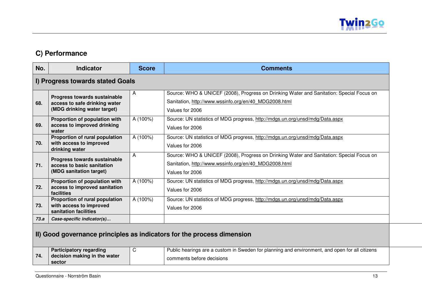

### **C) Performance**

| No.                                                                    | <b>Indicator</b>                                                                             | <b>Score</b> | <b>Comments</b>                                                                                                                                                      |
|------------------------------------------------------------------------|----------------------------------------------------------------------------------------------|--------------|----------------------------------------------------------------------------------------------------------------------------------------------------------------------|
|                                                                        | I) Progress towards stated Goals                                                             |              |                                                                                                                                                                      |
| 68.                                                                    | Progress towards sustainable<br>access to safe drinking water<br>(MDG drinking water target) | A            | Source: WHO & UNICEF (2008), Progress on Drinking Water and Sanitation: Special Focus on<br>Sanitation, http://www.wssinfo.org/en/40_MDG2008.html<br>Values for 2006 |
| 69.                                                                    | Proportion of population with<br>access to improved drinking<br>water                        | A (100%)     | Source: UN statistics of MDG progress, http://mdgs.un.org/unsd/mdg/Data.aspx<br>Values for 2006                                                                      |
| 70.                                                                    | Proportion of rural population<br>with access to improved<br>drinking water                  | A (100%)     | Source: UN statistics of MDG progress, http://mdgs.un.org/unsd/mdg/Data.aspx<br>Values for 2006                                                                      |
| 71.                                                                    | Progress towards sustainable<br>access to basic sanitation<br>(MDG sanitation target)        | A            | Source: WHO & UNICEF (2008), Progress on Drinking Water and Sanitation: Special Focus on<br>Sanitation, http://www.wssinfo.org/en/40_MDG2008.html<br>Values for 2006 |
| 72.                                                                    | Proportion of population with<br>access to improved sanitation<br>facilities                 | A (100%)     | Source: UN statistics of MDG progress, http://mdgs.un.org/unsd/mdg/Data.aspx<br>Values for 2006                                                                      |
| 73.                                                                    | Proportion of rural population<br>with access to improved<br>sanitation facilities           | A (100%)     | Source: UN statistics of MDG progress, http://mdgs.un.org/unsd/mdg/Data.aspx<br>Values for 2006                                                                      |
| 73.a                                                                   | Case-specific indicator(s)                                                                   |              |                                                                                                                                                                      |
| II) Good governance principles as indicators for the process dimension |                                                                                              |              |                                                                                                                                                                      |
|                                                                        | <b>Participatory regarding</b>                                                               | C            | Public hearings are a custom in Sweden for planning and environment, and open for all citizens                                                                       |

|     | <b>Participatory regarding</b>         | Public hearings are a custom in Sweden for planning and environment, and open for all citizens |
|-----|----------------------------------------|------------------------------------------------------------------------------------------------|
| 74. | decision making in the water<br>sector | comments before decisions                                                                      |
|     |                                        |                                                                                                |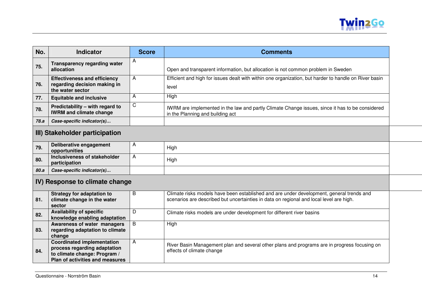

| No.                            | <b>Indicator</b>                                                                                                                            | <b>Score</b> | <b>Comments</b>                                                                                                                                                                     |
|--------------------------------|---------------------------------------------------------------------------------------------------------------------------------------------|--------------|-------------------------------------------------------------------------------------------------------------------------------------------------------------------------------------|
| 75.                            | <b>Transparency regarding water</b><br>allocation                                                                                           | А            | Open and transparent information, but allocation is not common problem in Sweden                                                                                                    |
| 76.                            | <b>Effectiveness and efficiency</b><br>regarding decision making in<br>the water sector                                                     | A            | Efficient and high for issues dealt with within one organization, but harder to handle on River basin<br>level                                                                      |
| 77.                            | <b>Equitable and inclusive</b>                                                                                                              | A            | High                                                                                                                                                                                |
| 78.                            | Predictability - with regard to<br><b>IWRM and climate change</b>                                                                           | C            | IWRM are implemented in the law and partly Climate Change issues, since it has to be considered<br>in the Planning and building act                                                 |
| 78.a                           | Case-specific indicator(s)                                                                                                                  |              |                                                                                                                                                                                     |
| III) Stakeholder participation |                                                                                                                                             |              |                                                                                                                                                                                     |
| 79.                            | Deliberative engagement<br>opportunities                                                                                                    | A            | High                                                                                                                                                                                |
| 80.                            | Inclusiveness of stakeholder<br>participation                                                                                               | A            | High                                                                                                                                                                                |
| 80.a                           | Case-specific indicator(s)                                                                                                                  |              |                                                                                                                                                                                     |
| IV) Response to climate change |                                                                                                                                             |              |                                                                                                                                                                                     |
| 81.                            | <b>Strategy for adaptation to</b><br>climate change in the water<br>sector                                                                  | B            | Climate risks models have been established and are under development, general trends and<br>scenarios are described but uncertainties in data on regional and local level are high. |
| 82.                            | <b>Availability of specific</b><br>knowledge enabling adaptation                                                                            | D            | Climate risks models are under development for different river basins                                                                                                               |
| 83.                            | Awareness of water managers<br>regarding adaptation to climate<br>change                                                                    | B            | High                                                                                                                                                                                |
| 84.                            | <b>Coordinated implementation</b><br>process regarding adaptation<br>to climate change: Program /<br><b>Plan of activities and measures</b> | A            | River Basin Management plan and several other plans and programs are in progress focusing on<br>effects of climate change                                                           |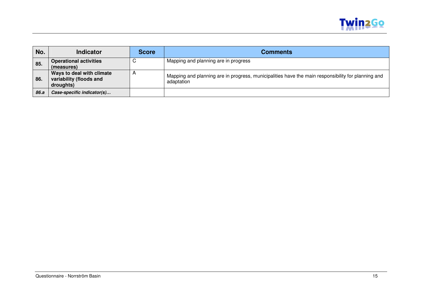

| No.  | <b>Indicator</b>                                                  | <b>Score</b>          | <b>Comments</b>                                                                                                  |
|------|-------------------------------------------------------------------|-----------------------|------------------------------------------------------------------------------------------------------------------|
| 85.  | <b>Operational activities</b><br>(measures)                       |                       | Mapping and planning are in progress                                                                             |
| 86.  | Ways to deal with climate<br>variability (floods and<br>droughts) | $\mathbf{\mathsf{m}}$ | Mapping and planning are in progress, municipalities have the main responsibility for planning and<br>adaptation |
| 86.a | Case-specific indicator(s)                                        |                       |                                                                                                                  |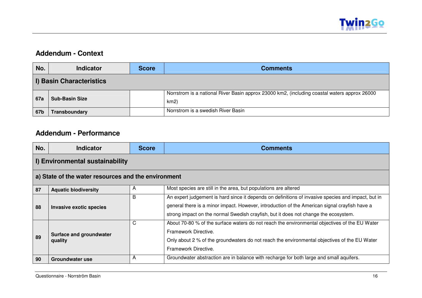

#### **Addendum - Context**

| No.                      | <b>Indicator</b>      | <b>Score</b> | <b>Comments</b>                                                                                      |  |
|--------------------------|-----------------------|--------------|------------------------------------------------------------------------------------------------------|--|
| I) Basin Characteristics |                       |              |                                                                                                      |  |
| 67a                      | <b>Sub-Basin Size</b> |              | Norrstrom is a national River Basin approx 23000 km2, (including coastal waters approx 26000<br>km2) |  |
| 67b                      | Transboundary         |              | Norrstrom is a swedish River Basin                                                                   |  |

#### **Addendum - Performance**

| No.                                                 | <b>Indicator</b>                          | <b>Score</b> | <b>Comments</b>                                                                                                                                                                                                                                                                            |  |  |
|-----------------------------------------------------|-------------------------------------------|--------------|--------------------------------------------------------------------------------------------------------------------------------------------------------------------------------------------------------------------------------------------------------------------------------------------|--|--|
|                                                     | I) Environmental sustainability           |              |                                                                                                                                                                                                                                                                                            |  |  |
| a) State of the water resources and the environment |                                           |              |                                                                                                                                                                                                                                                                                            |  |  |
| 87                                                  | <b>Aquatic biodiversity</b>               | A            | Most species are still in the area, but populations are altered                                                                                                                                                                                                                            |  |  |
| 88                                                  | Invasive exotic species                   | B            | An expert judgement is hard since it depends on definitions of invasive species and impact, but in<br>general there is a minor impact. However, introduction of the American signal crayfish have a<br>strong impact on the normal Swedish crayfish, but it does not change the ecosystem. |  |  |
| 89                                                  | <b>Surface and groundwater</b><br>quality | C            | About 70-80 % of the surface waters do not reach the environmental objectives of the EU Water<br>Framework Directive.<br>Only about 2 % of the groundwaters do not reach the environmental objectives of the EU Water<br>Framework Directive.                                              |  |  |
| 90                                                  | <b>Groundwater use</b>                    | A            | Groundwater abstraction are in balance with recharge for both large and small aquifers.                                                                                                                                                                                                    |  |  |